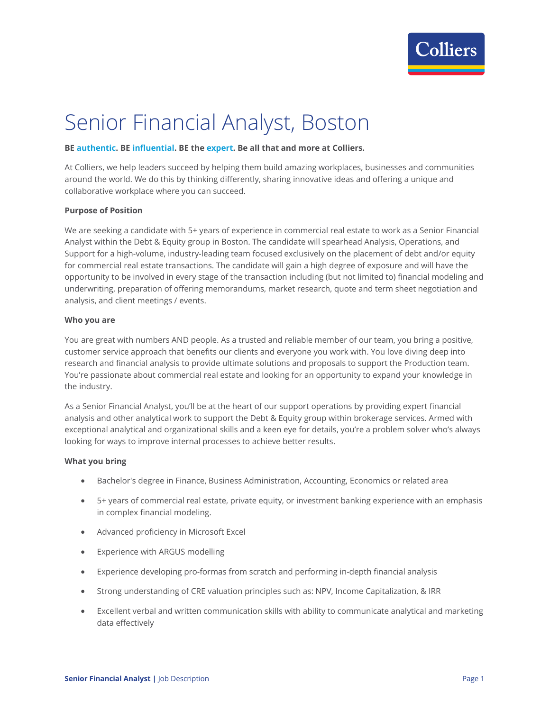

# Senior Financial Analyst, Boston

## **BE authentic. BE influential. BE the expert. Be all that and more at Colliers.**

At Colliers, we help leaders succeed by helping them build amazing workplaces, businesses and communities around the world. We do this by thinking differently, sharing innovative ideas and offering a unique and collaborative workplace where you can succeed.

#### **Purpose of Position**

We are seeking a candidate with 5+ years of experience in commercial real estate to work as a Senior Financial Analyst within the Debt & Equity group in Boston. The candidate will spearhead Analysis, Operations, and Support for a high-volume, industry-leading team focused exclusively on the placement of debt and/or equity for commercial real estate transactions. The candidate will gain a high degree of exposure and will have the opportunity to be involved in every stage of the transaction including (but not limited to) financial modeling and underwriting, preparation of offering memorandums, market research, quote and term sheet negotiation and analysis, and client meetings / events.

#### **Who you are**

You are great with numbers AND people. As a trusted and reliable member of our team, you bring a positive, customer service approach that benefits our clients and everyone you work with. You love diving deep into research and financial analysis to provide ultimate solutions and proposals to support the Production team. You're passionate about commercial real estate and looking for an opportunity to expand your knowledge in the industry.

As a Senior Financial Analyst, you'll be at the heart of our support operations by providing expert financial analysis and other analytical work to support the Debt & Equity group within brokerage services. Armed with exceptional analytical and organizational skills and a keen eye for details, you're a problem solver who's always looking for ways to improve internal processes to achieve better results.

## **What you bring**

- Bachelor's degree in Finance, Business Administration, Accounting, Economics or related area
- 5+ years of commercial real estate, private equity, or investment banking experience with an emphasis in complex financial modeling.
- Advanced proficiency in Microsoft Excel
- **Experience with ARGUS modelling**
- Experience developing pro-formas from scratch and performing in-depth financial analysis
- Strong understanding of CRE valuation principles such as: NPV, Income Capitalization, & IRR
- Excellent verbal and written communication skills with ability to communicate analytical and marketing data effectively